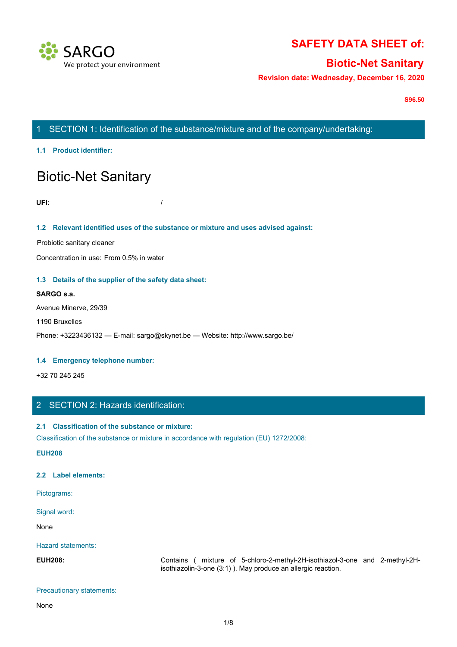

# **SAFETY DATA SHEET of:**

# **Biotic-Net Sanitary**

**Revision date: Wednesday, December 16, 2020**

**S96.50**

# 1 SECTION 1: Identification of the substance/mixture and of the company/undertaking:

**1.1 Product identifier:**

# Biotic-Net Sanitary

**UFI:** /

#### **1.2 Relevant identified uses of the substance or mixture and uses advised against:**

Probiotic sanitary cleaner

Concentration in use: From 0.5% in water

#### **1.3 Details of the supplier of the safety data sheet:**

#### **SARGO s.a.**

Avenue Minerve, 29/39

#### 1190 Bruxelles

Phone: +3223436132 — E-mail: sargo@skynet.be — Website: http://www.sargo.be/

#### **1.4 Emergency telephone number:**

+32 70 245 245

# 2 SECTION 2: Hazards identification:

#### **2.1 Classification of the substance or mixture:**

Classification of the substance or mixture in accordance with regulation (EU) 1272/2008:

**EUH208**

#### **2.2 Label elements:**

Pictograms:

Signal word:

None with the contract of the contract of the contract of the contract of the contract of the contract of the contract of the contract of the contract of the contract of the contract of the contract of the contract of the

Hazard statements:

**ENDE:** +1223436132 — E-mail: sargo@skynet.be — Website: http://www.sargo.be/<br>
1.4 Emergency telephone number:<br>
1.32 70 245 245<br>
2. SECTION 2: Hazard's identification:<br>
2.1 Classification of the substance or mixture in acc isothiazolin-3-one (3:1) ). May produce an allergic reaction.

#### Precautionary statements:

None with the contract of the contract of the contract of the contract of the contract of the contract of the contract of the contract of the contract of the contract of the contract of the contract of the contract of the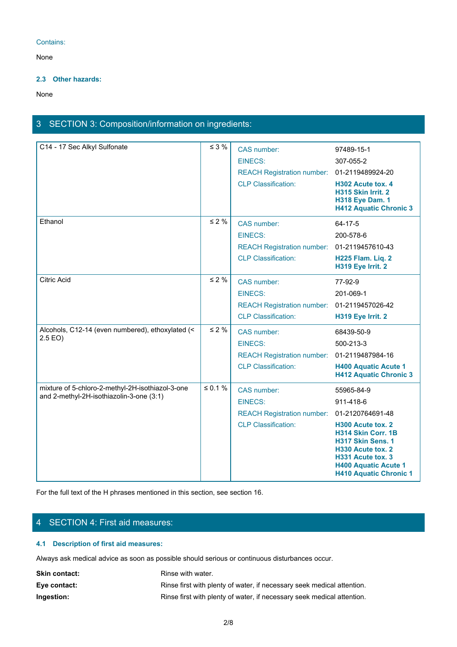#### Contains:

None with the contract of the contract of the contract of the contract of the contract of the contract of the contract of the contract of the contract of the contract of the contract of the contract of the contract of the

#### **2.3 Other hazards:**

None with the contract of the contract of the contract of the contract of the contract of the contract of the contract of the contract of the contract of the contract of the contract of the contract of the contract of the

# 3 SECTION 3: Composition/information on ingredients:

| C14 - 17 Sec Alkyl Sulfonate                     | $\leq 3 \%$  | CAS number:                                 | 97489-15-1                                                                                                                                                             |
|--------------------------------------------------|--------------|---------------------------------------------|------------------------------------------------------------------------------------------------------------------------------------------------------------------------|
|                                                  |              | <b>EINECS:</b>                              | 307-055-2                                                                                                                                                              |
|                                                  |              | REACH Registration number: 01-2119489924-20 |                                                                                                                                                                        |
|                                                  |              | <b>CLP Classification:</b>                  | H302 Acute tox. 4<br>H315 Skin Irrit. 2<br><b>H318 Eye Dam. 1</b><br><b>H412 Aquatic Chronic 3</b>                                                                     |
| Ethanol                                          | $\leq 2 \%$  | CAS number:                                 | 64-17-5                                                                                                                                                                |
|                                                  |              | <b>EINECS:</b>                              | 200-578-6                                                                                                                                                              |
|                                                  |              | REACH Registration number: 01-2119457610-43 |                                                                                                                                                                        |
|                                                  |              | <b>CLP Classification:</b>                  | H225 Flam. Liq. 2<br>H319 Eye Irrit. 2                                                                                                                                 |
| Citric Acid                                      | $\leq 2 \%$  | CAS number:                                 | 77-92-9                                                                                                                                                                |
|                                                  |              | <b>EINECS:</b>                              | 201-069-1                                                                                                                                                              |
|                                                  |              | REACH Registration number: 01-2119457026-42 |                                                                                                                                                                        |
|                                                  |              | <b>CLP Classification:</b>                  | H319 Eye Irrit. 2                                                                                                                                                      |
| Alcohols, C12-14 (even numbered), ethoxylated (< | $\leq 2\%$   | CAS number:                                 | 68439-50-9                                                                                                                                                             |
| 2.5 E <sub>O</sub>                               |              | <b>EINECS:</b>                              | 500-213-3                                                                                                                                                              |
|                                                  |              | REACH Registration number: 01-2119487984-16 |                                                                                                                                                                        |
|                                                  |              | <b>CLP Classification:</b>                  | <b>H400 Aquatic Acute 1</b><br><b>H412 Aquatic Chronic 3</b>                                                                                                           |
| mixture of 5-chloro-2-methyl-2H-isothiazol-3-one | $\leq 0.1$ % | CAS number:                                 | 55965-84-9                                                                                                                                                             |
| and 2-methyl-2H-isothiazolin-3-one (3:1)         |              | EINECS:                                     | 911-418-6                                                                                                                                                              |
|                                                  |              | REACH Registration number: 01-2120764691-48 |                                                                                                                                                                        |
|                                                  |              | <b>CLP Classification:</b>                  | H300 Acute tox. 2<br>H314 Skin Corr. 1B<br>H317 Skin Sens. 1<br>H330 Acute tox. 2<br>H331 Acute tox. 3<br><b>H400 Aquatic Acute 1</b><br><b>H410 Aquatic Chronic 1</b> |

For the full text of the H phrases mentioned in this section, see section 16.

# 4 SECTION 4: First aid measures:

# **4.1 Description of first aid measures:**

Always ask medical advice as soon as possible should serious or continuous disturbances occur.

| <b>Skin contact:</b> | Rinse with water.                                                      |
|----------------------|------------------------------------------------------------------------|
| Eye contact:         | Rinse first with plenty of water, if necessary seek medical attention. |
| Ingestion:           | Rinse first with plenty of water, if necessary seek medical attention. |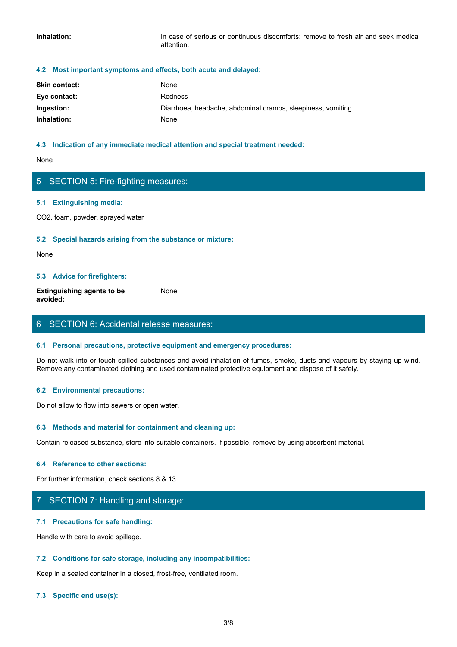**Inhalation:** In case of serious or continuous discomforts: remove to fresh air and seek medical attention.

#### **4.2 Most important symptoms and effects, both acute and delayed:**

| <b>Skin contact:</b> | None                                                        |
|----------------------|-------------------------------------------------------------|
| Eye contact:         | <b>Redness</b>                                              |
| Ingestion:           | Diarrhoea, headache, abdominal cramps, sleepiness, vomiting |
| Inhalation:          | None                                                        |

#### **4.3 Indication of any immediate medical attention and special treatment needed:**

None with the contract of the contract of the contract of the contract of the contract of the contract of the contract of the contract of the contract of the contract of the contract of the contract of the contract of the

# 5 SECTION 5: Fire-fighting measures:

#### **5.1 Extinguishing media:**

CO2, foam, powder, sprayed water

#### **5.2 Special hazards arising from the substance or mixture:**

None with the contract of the contract of the contract of the contract of the contract of the contract of the contract of the contract of the contract of the contract of the contract of the contract of the contract of the

#### **5.3 Advice for firefighters:**

**Extinguishing agents to be avoided:** None with the contract of the contract of the contract of the contract of the contract of the contract of the contract of the contract of the contract of the contract of the contract of the contract of the contract of the

### 6 SECTION 6: Accidental release measures:

#### **6.1 Personal precautions, protective equipment and emergency procedures:**

Do not walk into or touch spilled substances and avoid inhalation of fumes, smoke, dusts and vapours by staying up wind. Remove any contaminated clothing and used contaminated protective equipment and dispose of it safely.

#### **6.2 Environmental precautions:**

Do not allow to flow into sewers or open water.

#### **6.3 Methods and material for containment and cleaning up:**

Contain released substance, store into suitable containers. If possible, remove by using absorbent material.

#### **6.4 Reference to other sections:**

For further information, check sections 8 & 13.

### 7 SECTION 7: Handling and storage:

#### **7.1 Precautions for safe handling:**

Handle with care to avoid spillage.

#### **7.2 Conditions for safe storage, including any incompatibilities:**

Keep in a sealed container in a closed, frost-free, ventilated room.

#### **7.3 Specific end use(s):**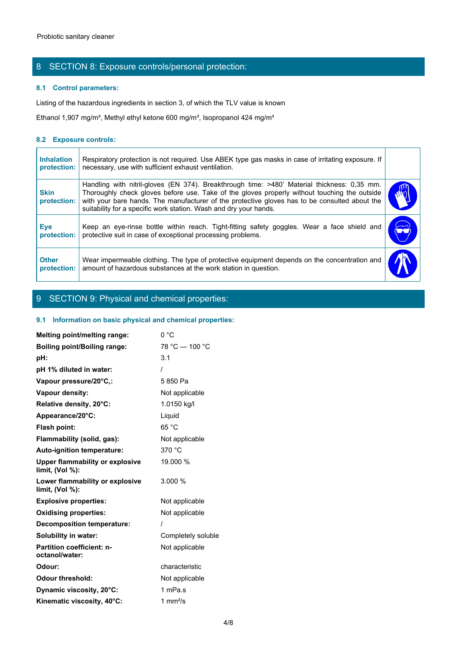# 8 SECTION 8: Exposure controls/personal protection:

#### **8.1 Control parameters:**

#### **8.2 Exposure controls:**

| Probiotic sanitary cleaner       |                                                                                                                                                                                                                                                                                                                                                                   |  |
|----------------------------------|-------------------------------------------------------------------------------------------------------------------------------------------------------------------------------------------------------------------------------------------------------------------------------------------------------------------------------------------------------------------|--|
|                                  |                                                                                                                                                                                                                                                                                                                                                                   |  |
|                                  | 8 SECTION 8: Exposure controls/personal protection:                                                                                                                                                                                                                                                                                                               |  |
| 8.1 Control parameters:          |                                                                                                                                                                                                                                                                                                                                                                   |  |
|                                  | Listing of the hazardous ingredients in section 3, of which the TLV value is known                                                                                                                                                                                                                                                                                |  |
|                                  | Ethanol 1,907 mg/m <sup>3</sup> , Methyl ethyl ketone 600 mg/m <sup>3</sup> , Isopropanol 424 mg/m <sup>3</sup>                                                                                                                                                                                                                                                   |  |
| 8.2 Exposure controls:           |                                                                                                                                                                                                                                                                                                                                                                   |  |
| <b>Inhalation</b><br>protection: | Respiratory protection is not required. Use ABEK type gas masks in case of irritating exposure. If<br>necessary, use with sufficient exhaust ventilation.                                                                                                                                                                                                         |  |
| <b>Skin</b><br>protection:       | Handling with nitril-gloves (EN 374). Breakthrough time: >480' Material thickness: 0,35 mm.<br>Thoroughly check gloves before use. Take of the gloves properly without touching the outside<br>with your bare hands. The manufacturer of the protective gloves has to be consulted about the<br>suitability for a specific work station. Wash and dry your hands. |  |
| Eye<br>protection:               | Keep an eye-rinse bottle within reach. Tight-fitting safety goggles. Wear a face shield and<br>protective suit in case of exceptional processing problems.                                                                                                                                                                                                        |  |
| <b>Other</b><br>protection:      | Wear impermeable clothing. The type of protective equipment depends on the concentration and<br>amount of hazardous substances at the work station in question.                                                                                                                                                                                                   |  |
|                                  |                                                                                                                                                                                                                                                                                                                                                                   |  |

# 9 SECTION 9: Physical and chemical properties:

#### **9.1 Information on basic physical and chemical properties:**

| Melting point/melting range:                                 | 0 °C               |
|--------------------------------------------------------------|--------------------|
| <b>Boiling point/Boiling range:</b>                          | 78 °C - 100 °C     |
| pH:                                                          | 3.1                |
| pH 1% diluted in water:                                      |                    |
| Vapour pressure/20°C,:                                       | 5850 Pa            |
| Vapour density:                                              | Not applicable     |
| Relative density, 20°C:                                      | 1.0150 kg/l        |
| Appearance/20°C:                                             | Liquid             |
| Flash point:                                                 | 65 °C              |
| Flammability (solid, gas):                                   | Not applicable     |
| Auto-ignition temperature:                                   | 370 °C             |
| <b>Upper flammability or explosive</b><br>limit, $(Vol %)$ : | 19.000 %           |
| Lower flammability or explosive<br>limit, $(Vol %)$ :        | 3.000 %            |
| <b>Explosive properties:</b>                                 | Not applicable     |
| <b>Oxidising properties:</b>                                 | Not applicable     |
| <b>Decomposition temperature:</b>                            |                    |
| Solubility in water:                                         | Completely soluble |
| Partition coefficient: n-<br>octanol/water:                  | Not applicable     |
| Odour:                                                       | characteristic     |
| <b>Odour threshold:</b>                                      | Not applicable     |
| Dynamic viscosity, 20°C:                                     | 1 mPa.s            |
| Kinematic viscosity, 40°C:                                   | 1 mm $^{2}/s$      |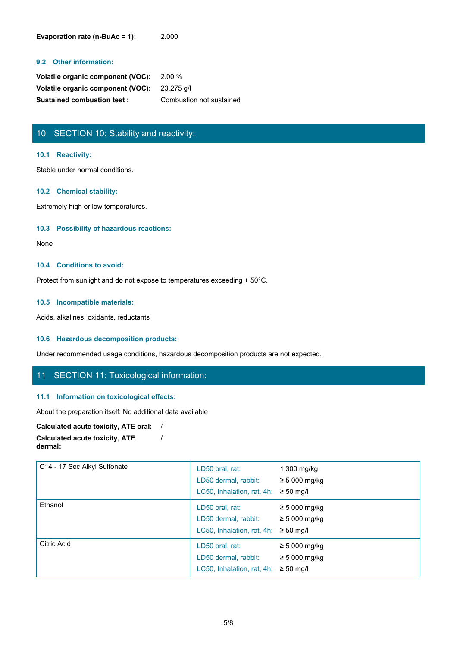**Evaporation rate (n-BuAc = 1):** 2.000

#### **9.2 Other information:**

| Volatile organic component (VOC): 2.00 %     |                          |
|----------------------------------------------|--------------------------|
| Volatile organic component (VOC): 23.275 g/l |                          |
| <b>Sustained combustion test:</b>            | Combustion not sustained |

# 10 SECTION 10: Stability and reactivity:

#### **10.1 Reactivity:**

Stable under normal conditions.

#### **10.2 Chemical stability:**

Extremely high or low temperatures.

#### **10.3 Possibility of hazardous reactions:**

None with the contract of the contract of the contract of the contract of the contract of the contract of the contract of the contract of the contract of the contract of the contract of the contract of the contract of the

#### **10.4 Conditions to avoid:**

Protect from sunlight and do not expose to temperatures exceeding + 50°C.

#### **10.5 Incompatible materials:**

Acids, alkalines, oxidants, reductants

#### **10.6 Hazardous decomposition products:**

Under recommended usage conditions, hazardous decomposition products are not expected.

/

### 11 SECTION 11: Toxicological information:

#### **11.1 Information on toxicological effects:**

About the preparation itself: No additional data available

#### **Calculated acute toxicity, ATE oral:** /

```
Calculated acute toxicity, ATE
dermal:
```

| C14 - 17 Sec Alkyl Sulfonate | LD50 oral, rat:<br>LD50 dermal, rabbit:<br>LC50, Inhalation, rat, 4h:                | 1 300 mg/kg<br>$\geq$ 5 000 mg/kg<br>$\geq 50$ mg/l        |
|------------------------------|--------------------------------------------------------------------------------------|------------------------------------------------------------|
| Ethanol                      | LD50 oral, rat:<br>LD50 dermal, rabbit:<br>LC50, Inhalation, rat, 4h: $\geq$ 50 mg/l | $\geq$ 5 000 mg/kg<br>$\geq$ 5 000 mg/kg                   |
| Citric Acid                  | LD50 oral, rat:<br>LD50 dermal, rabbit:<br>LC50, Inhalation, rat, 4h:                | $\geq$ 5 000 mg/kg<br>$\geq$ 5 000 mg/kg<br>$\geq 50$ mg/l |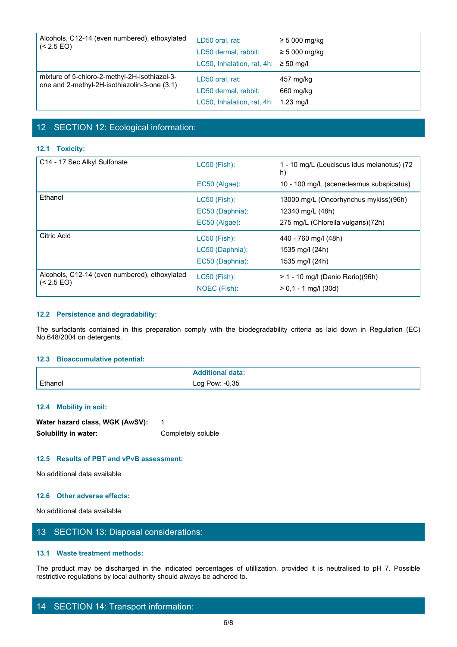| Alcohols, C12-14 (even numbered), ethoxylated<br>$( < 2.5$ EO)                                | LD50 oral, rat:<br>LD50 dermal, rabbit:<br>LC50, Inhalation, rat, 4h:           | $\geq 5000$ mg/kg<br>$\geq 5000$ mg/kg<br>$\geq 50$ ma/l |  |
|-----------------------------------------------------------------------------------------------|---------------------------------------------------------------------------------|----------------------------------------------------------|--|
| mixture of 5-chloro-2-methyl-2H-isothiazol-3-<br>one and 2-methyl-2H-isothiazolin-3-one (3:1) | LD50 oral, rat:<br>LD50 dermal, rabbit:<br>LC50, Inhalation, rat, 4h: 1.23 mg/l | 457 mg/kg<br>660 mg/kg                                   |  |

# 12 SECTION 12: Ecological information:

### **12.1 Toxicity:**

|                                                                                                                                                       | LC50, Inhalation, rat, 4h: 1.23 mg/l |                                                  |
|-------------------------------------------------------------------------------------------------------------------------------------------------------|--------------------------------------|--------------------------------------------------|
|                                                                                                                                                       |                                      |                                                  |
| 12 SECTION 12: Ecological information:                                                                                                                |                                      |                                                  |
| 12.1 Toxicity:                                                                                                                                        |                                      |                                                  |
|                                                                                                                                                       |                                      |                                                  |
| C14 - 17 Sec Alkyl Sulfonate                                                                                                                          | LC50 (Fish):                         | 1 - 10 mg/L (Leuciscus idus melanotus) (72<br>h) |
|                                                                                                                                                       | EC50 (Algae):                        | 10 - 100 mg/L (scenedesmus subspicatus)          |
| Ethanol                                                                                                                                               | <b>LC50 (Fish):</b>                  | 13000 mg/L (Oncorhynchus mykiss)(96h)            |
|                                                                                                                                                       | EC50 (Daphnia):                      | 12340 mg/L (48h)                                 |
|                                                                                                                                                       | EC50 (Algae):                        | 275 mg/L (Chlorella vulgaris)(72h)               |
| Citric Acid                                                                                                                                           | <b>LC50 (Fish):</b>                  | 440 - 760 mg/l (48h)                             |
|                                                                                                                                                       | LC50 (Daphnia):                      | 1535 mg/l (24h)                                  |
|                                                                                                                                                       | EC50 (Daphnia):                      | 1535 mg/l (24h)                                  |
| Alcohols, C12-14 (even numbered), ethoxylated                                                                                                         | <b>LC50 (Fish):</b>                  | > 1 - 10 mg/l (Danio Rerio)(96h)                 |
| $\sim$ (< 2.5 EO)                                                                                                                                     | NOEC (Fish):                         | $> 0,1 - 1$ mg/l (30d)                           |
|                                                                                                                                                       |                                      |                                                  |
| 12.2 Persistence and degradability:                                                                                                                   |                                      |                                                  |
|                                                                                                                                                       |                                      |                                                  |
| The surfactants contained in this preparation comply with the biodegradability criteria as laid down in Regulation (EC)<br>No.648/2004 on detergents. |                                      |                                                  |
|                                                                                                                                                       |                                      |                                                  |
| 12.3 Bioaccumulative potential:                                                                                                                       |                                      |                                                  |
|                                                                                                                                                       | <b>Additional data:</b>              |                                                  |
| Ethanol                                                                                                                                               | Log Pow: -0,35                       |                                                  |

#### **12.2 Persistence and degradability:**

#### **12.3 Bioaccumulative potential:**

| No.648/2004 on detergents.                                              |                                                                                                                          |  |
|-------------------------------------------------------------------------|--------------------------------------------------------------------------------------------------------------------------|--|
| 12.3 Bioaccumulative potential:                                         |                                                                                                                          |  |
|                                                                         | <b>Additional data:</b>                                                                                                  |  |
| Ethanol                                                                 | Log Pow: -0,35                                                                                                           |  |
| 12.4 Mobility in soil:                                                  |                                                                                                                          |  |
| Water hazard class, WGK (AwSV):                                         | $\mathbf{1}$                                                                                                             |  |
| Solubility in water:                                                    | Completely soluble                                                                                                       |  |
| 12.5 Results of PBT and vPvB assessment:                                |                                                                                                                          |  |
| No additional data available                                            |                                                                                                                          |  |
| 12.6 Other adverse effects:                                             |                                                                                                                          |  |
| No additional data available                                            |                                                                                                                          |  |
| 13 SECTION 13: Disposal considerations:                                 |                                                                                                                          |  |
| 13.1 Waste treatment methods:                                           |                                                                                                                          |  |
| restrictive regulations by local authority should always be adhered to. | The product may be discharged in the indicated percentages of utillization, provided it is neutralised to pH 7. Possible |  |
| 14 SECTION 14: Transport information:                                   |                                                                                                                          |  |
|                                                                         | 6/8                                                                                                                      |  |

#### **12.4 Mobility in soil:**

| Water hazard class, WGK (AwSV): |                    |
|---------------------------------|--------------------|
| Solubility in water:            | Completely soluble |

#### **12.5 Results of PBT and vPvB assessment:**

#### **12.6 Other adverse effects:**

# 13 SECTION 13: Disposal considerations:

#### **13.1 Waste treatment methods:**

# 14 SECTION 14: Transport information: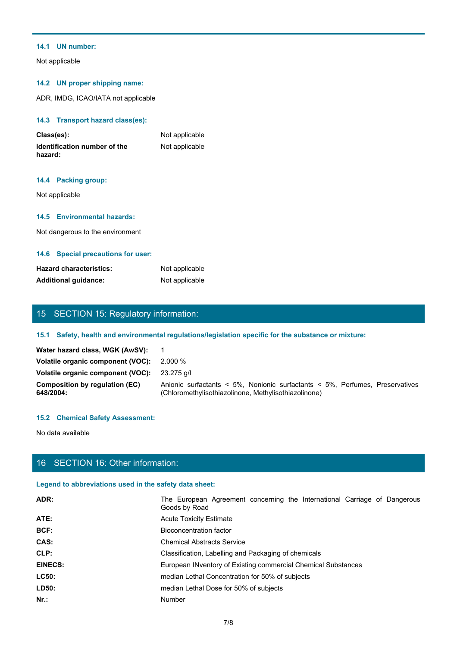#### **14.1 UN number:**

Not applicable

#### **14.2 UN proper shipping name:**

ADR, IMDG, ICAO/IATA not applicable

#### **14.3 Transport hazard class(es):**

| Class(es):                              | Not applicable |
|-----------------------------------------|----------------|
| Identification number of the<br>hazard: | Not applicable |

#### **14.4 Packing group:**

#### **14.5 Environmental hazards:**

#### **14.6 Special precautions for user:**

| <b>Hazard characteristics:</b> | Not applicable |
|--------------------------------|----------------|
| <b>Additional quidance:</b>    | Not applicable |

# 15 SECTION 15: Regulatory information:

### **15.1 Safety, health and environmental regulations/legislation specific for the substance or mixture:**

| טווייוסט ונייווייטווייטווייטווייטו<br>hazard:      | <b>TYPE applicable</b>                                                                                                               |
|----------------------------------------------------|--------------------------------------------------------------------------------------------------------------------------------------|
| 14.4 Packing group:                                |                                                                                                                                      |
| Not applicable                                     |                                                                                                                                      |
| 14.5 Environmental hazards:                        |                                                                                                                                      |
| Not dangerous to the environment                   |                                                                                                                                      |
| 14.6 Special precautions for user:                 |                                                                                                                                      |
| <b>Hazard characteristics:</b>                     | Not applicable                                                                                                                       |
| <b>Additional guidance:</b>                        | Not applicable                                                                                                                       |
|                                                    |                                                                                                                                      |
| 15 SECTION 15: Regulatory information:             |                                                                                                                                      |
|                                                    | 15.1 Safety, health and environmental regulations/legislation specific for the substance or mixture:                                 |
| Water hazard class, WGK (AwSV):                    | $\overline{1}$                                                                                                                       |
| Volatile organic component (VOC):                  | 2.000 %                                                                                                                              |
| Volatile organic component (VOC):                  | 23.275 g/l                                                                                                                           |
| <b>Composition by regulation (EC)</b><br>648/2004: | Anionic surfactants < 5%, Nonionic surfactants < 5%, Perfumes, Preservatives<br>(Chloromethylisothiazolinone, Methylisothiazolinone) |
| <b>15.2 Chemical Safety Assessment:</b>            |                                                                                                                                      |
|                                                    |                                                                                                                                      |
| No data available                                  |                                                                                                                                      |

#### **15.2 Chemical Safety Assessment:**

# 16 SECTION 16: Other information:

# **Legend to abbreviations used in the safety data sheet:**

| <b>Hazard characteristics:</b>                         | Not applicable                                                                                                                       |
|--------------------------------------------------------|--------------------------------------------------------------------------------------------------------------------------------------|
| <b>Additional guidance:</b>                            | Not applicable                                                                                                                       |
|                                                        |                                                                                                                                      |
|                                                        |                                                                                                                                      |
| 15 SECTION 15: Regulatory information:                 |                                                                                                                                      |
|                                                        | 15.1 Safety, health and environmental regulations/legislation specific for the substance or mixture:                                 |
| Water hazard class, WGK (AwSV):                        | $\overline{1}$                                                                                                                       |
| Volatile organic component (VOC):                      | 2.000 %                                                                                                                              |
| Volatile organic component (VOC):                      | 23.275 g/l                                                                                                                           |
| <b>Composition by regulation (EC)</b><br>648/2004:     | Anionic surfactants < 5%, Nonionic surfactants < 5%, Perfumes, Preservatives<br>(Chloromethylisothiazolinone, Methylisothiazolinone) |
| <b>15.2 Chemical Safety Assessment:</b>                |                                                                                                                                      |
|                                                        |                                                                                                                                      |
| No data available                                      |                                                                                                                                      |
|                                                        |                                                                                                                                      |
| 16 SECTION 16: Other information:                      |                                                                                                                                      |
| Legend to abbreviations used in the safety data sheet: |                                                                                                                                      |
| ADR:                                                   | The European Agreement concerning the International Carriage of Dangerous<br>Goods by Road                                           |
| ATE:                                                   | <b>Acute Toxicity Estimate</b>                                                                                                       |
| BCF:                                                   | <b>Bioconcentration factor</b>                                                                                                       |
| CAS:                                                   | <b>Chemical Abstracts Service</b>                                                                                                    |
| CLP:                                                   | Classification, Labelling and Packaging of chemicals                                                                                 |
| <b>EINECS:</b>                                         | European INventory of Existing commercial Chemical Substances                                                                        |
| LC50:                                                  | median Lethal Concentration for 50% of subjects                                                                                      |
| LD50:                                                  | median Lethal Dose for 50% of subjects                                                                                               |
| $Nr.$ :                                                | Number                                                                                                                               |